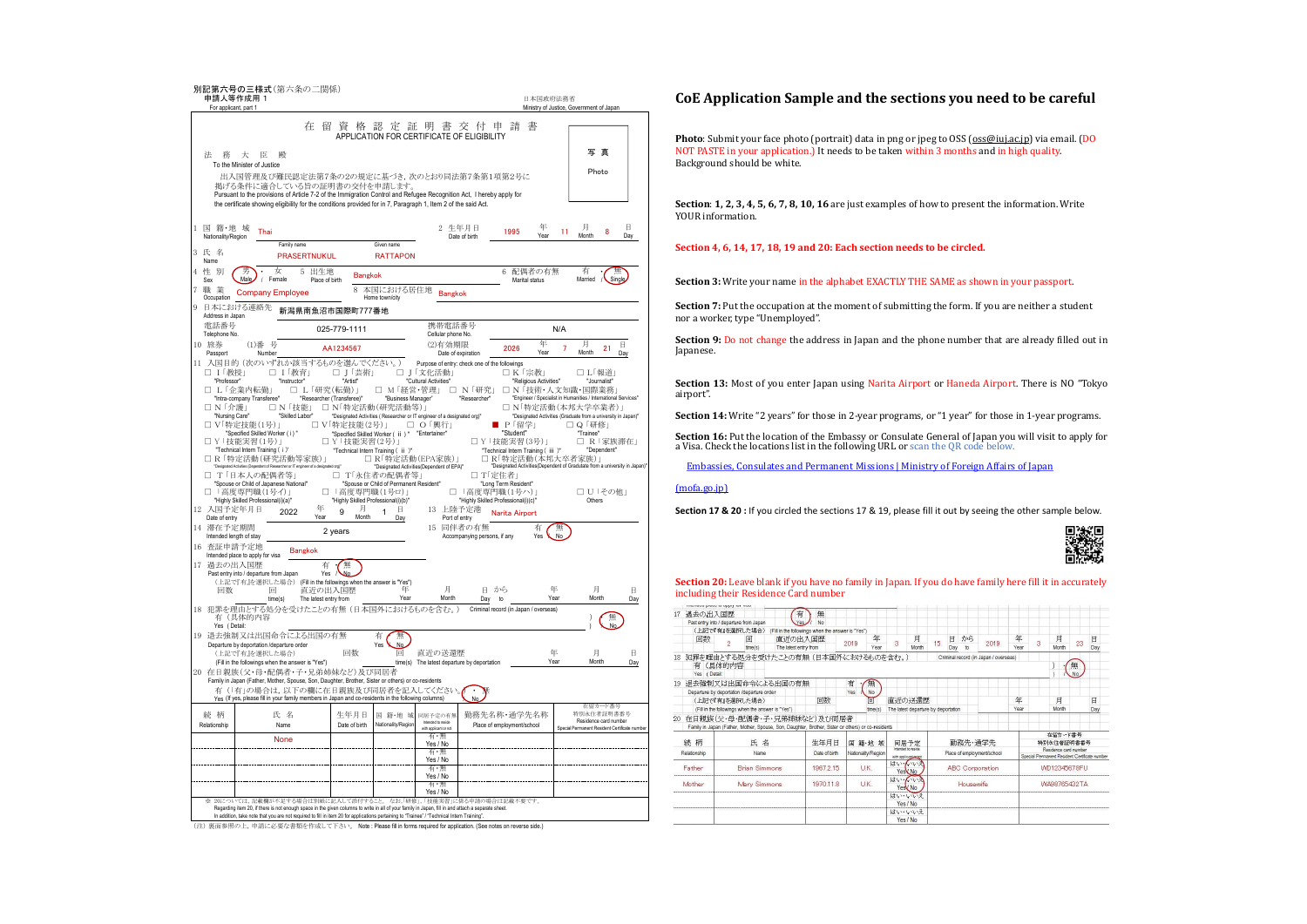| For applicant, part 1                                                                                                                                               | 別記第六号の三様式(第六条の二関係)<br>申請人等作成用 1                                                                                                                                                                                                                                                                                                                                                                                                                                                                                                                                                                                                                                                                     |                                                                                                                                                                                                                                                                                          |                                                                                                                                                                                                                                                                                                                 |                                                                                                                                              |                                                                                                                                                                                              |                                                                                                | 日本国政府法務省                                                                                     | Ministry of Justice, Government of Japan                                                                                                                                                                                                                                                                                                 |                                                           |                  |
|---------------------------------------------------------------------------------------------------------------------------------------------------------------------|-----------------------------------------------------------------------------------------------------------------------------------------------------------------------------------------------------------------------------------------------------------------------------------------------------------------------------------------------------------------------------------------------------------------------------------------------------------------------------------------------------------------------------------------------------------------------------------------------------------------------------------------------------------------------------------------------------|------------------------------------------------------------------------------------------------------------------------------------------------------------------------------------------------------------------------------------------------------------------------------------------|-----------------------------------------------------------------------------------------------------------------------------------------------------------------------------------------------------------------------------------------------------------------------------------------------------------------|----------------------------------------------------------------------------------------------------------------------------------------------|----------------------------------------------------------------------------------------------------------------------------------------------------------------------------------------------|------------------------------------------------------------------------------------------------|----------------------------------------------------------------------------------------------|------------------------------------------------------------------------------------------------------------------------------------------------------------------------------------------------------------------------------------------------------------------------------------------------------------------------------------------|-----------------------------------------------------------|------------------|
|                                                                                                                                                                     |                                                                                                                                                                                                                                                                                                                                                                                                                                                                                                                                                                                                                                                                                                     | 在 留 資 格 認 定 証 明 書 交 付 申 請                                                                                                                                                                                                                                                                | APPLICATION FOR CERTIFICATE OF ELIGIBILITY                                                                                                                                                                                                                                                                      |                                                                                                                                              |                                                                                                                                                                                              |                                                                                                | 書                                                                                            |                                                                                                                                                                                                                                                                                                                                          |                                                           |                  |
| 洪<br>務                                                                                                                                                              | 大<br>臣<br>殿<br>To the Minister of Justice                                                                                                                                                                                                                                                                                                                                                                                                                                                                                                                                                                                                                                                           |                                                                                                                                                                                                                                                                                          |                                                                                                                                                                                                                                                                                                                 |                                                                                                                                              |                                                                                                                                                                                              |                                                                                                |                                                                                              | Ξ                                                                                                                                                                                                                                                                                                                                        | 真                                                         |                  |
|                                                                                                                                                                     | 出入国管理及び難民認定法第7条の2の規定に基づき,次のとおり同法第7条第1項第2号に<br>掲げる条件に適合している旨の証明書の交付を申請します。<br>Pursuant to the provisions of Article 7-2 of the Immigration Control and Refugee Recognition Act, I hereby apply for<br>the certificate showing eligibility for the conditions provided for in 7, Paragraph 1, Item 2 of the said Act.                                                                                                                                                                                                                                                                                                                                                                                 |                                                                                                                                                                                                                                                                                          |                                                                                                                                                                                                                                                                                                                 |                                                                                                                                              |                                                                                                                                                                                              |                                                                                                |                                                                                              | Photo                                                                                                                                                                                                                                                                                                                                    |                                                           |                  |
| 国籍地域<br>Nationality/Region                                                                                                                                          | Thai                                                                                                                                                                                                                                                                                                                                                                                                                                                                                                                                                                                                                                                                                                |                                                                                                                                                                                                                                                                                          |                                                                                                                                                                                                                                                                                                                 | 2 生年月日                                                                                                                                       | Date of birth                                                                                                                                                                                | 1995                                                                                           | 年<br>Year                                                                                    | 月<br>11<br>Month                                                                                                                                                                                                                                                                                                                         | $\Box$<br>8<br>Day                                        |                  |
| 3 氏 名                                                                                                                                                               | Family name<br><b>PRASERTNUKUL</b>                                                                                                                                                                                                                                                                                                                                                                                                                                                                                                                                                                                                                                                                  |                                                                                                                                                                                                                                                                                          | Given name<br><b>RATTAPON</b>                                                                                                                                                                                                                                                                                   |                                                                                                                                              |                                                                                                                                                                                              |                                                                                                |                                                                                              |                                                                                                                                                                                                                                                                                                                                          |                                                           |                  |
| Name<br>性別<br>4<br>Sex                                                                                                                                              | 女<br>5.<br><b>Male</b><br>Female<br>$\sqrt{2}$                                                                                                                                                                                                                                                                                                                                                                                                                                                                                                                                                                                                                                                      | 出生地<br><b>Bangkok</b><br>Place of birth                                                                                                                                                                                                                                                  |                                                                                                                                                                                                                                                                                                                 |                                                                                                                                              |                                                                                                                                                                                              | 6.<br>Marital status                                                                           | 配偶者の有無                                                                                       | 有<br>Married                                                                                                                                                                                                                                                                                                                             | Single                                                    |                  |
| 職<br>業<br>Occupation                                                                                                                                                | <b>Company Employee</b>                                                                                                                                                                                                                                                                                                                                                                                                                                                                                                                                                                                                                                                                             | 8                                                                                                                                                                                                                                                                                        | 本国における居住地<br>Home town/city                                                                                                                                                                                                                                                                                     | <b>Bangkok</b>                                                                                                                               |                                                                                                                                                                                              |                                                                                                |                                                                                              |                                                                                                                                                                                                                                                                                                                                          |                                                           |                  |
| Address in Japan                                                                                                                                                    | 日本における連絡先                                                                                                                                                                                                                                                                                                                                                                                                                                                                                                                                                                                                                                                                                           | 新潟県南魚沼市国際町777番地                                                                                                                                                                                                                                                                          |                                                                                                                                                                                                                                                                                                                 |                                                                                                                                              |                                                                                                                                                                                              |                                                                                                |                                                                                              |                                                                                                                                                                                                                                                                                                                                          |                                                           |                  |
| 電話番号<br>Telephone No.                                                                                                                                               |                                                                                                                                                                                                                                                                                                                                                                                                                                                                                                                                                                                                                                                                                                     | 025-779-1111                                                                                                                                                                                                                                                                             |                                                                                                                                                                                                                                                                                                                 | 携帯電話番号<br>Cellular phone No.                                                                                                                 |                                                                                                                                                                                              |                                                                                                | N/A                                                                                          |                                                                                                                                                                                                                                                                                                                                          |                                                           |                  |
| 10 旅券<br>Passport                                                                                                                                                   | (1)番号<br>Number                                                                                                                                                                                                                                                                                                                                                                                                                                                                                                                                                                                                                                                                                     | AA1234567                                                                                                                                                                                                                                                                                |                                                                                                                                                                                                                                                                                                                 | (2)有効期限<br>Date of expiration                                                                                                                |                                                                                                                                                                                              | 2026                                                                                           | 年<br>Year                                                                                    | 月<br>7<br>Month                                                                                                                                                                                                                                                                                                                          | $\Box$<br>21<br>Day                                       |                  |
| コ Ⅰ「教授」<br>"Professor"<br>□ N 「介護」<br>"Nursing Care"<br>12<br>Date of entry<br>滞在予定期間<br>14<br>Intended length of stay<br>16<br>過去の出入国歴<br>17<br>同数<br>Yes (Detail: | □ Ⅰ「教育」<br>"Instructor"<br>□ L「企業内転勤」<br>"Intra-company Transferee"<br>□ N「技能」<br>"Skilled Labor"<br>□ V「特定技能(1号)」<br>"Specified Skilled Worker (i)"<br>□ Y 「技能実習(1号)」<br>"Technical Intern Training (i)"<br>□ R 「特定活動(研究活動等家族)」<br>ted Activities (Dependent of Res<br>archer or IT engineer of a designa<br>T「日本人の配偶者等」<br>"Spouse or Child of Japanese National"<br>「高度専門職(1号イ)」<br>"Highly Skilled Professional(i)(a)"<br>入国予定年月日<br>2022<br>查証申請予定地<br><b>Bangkok</b><br>Intended place to apply for visa<br>Past entry into / departure from Japan<br>(上記で『有』を選択した場合) (Fill in the followings when the answer is "Yes")<br>同<br>time(s)<br>18 犯罪を理由とする処分を受けたことの有無 (日本国外におけるものを含む。)<br>有(具体的内容 | □ 」「芸術」<br>"Artist"<br>□ L「研究(転勤)」<br>"Researcher (Transferee)"<br>□ N「特定活動(研究活動等)」<br>□ V「特定技能(2号)」<br>□ Y「技能実習(2号)」<br>「高度専門職(1号ロ)」<br>п<br>"Highly Skilled Professional(i)(b)"<br>年<br>月<br>9<br>Year<br>Month<br>2 years<br>無<br>有<br>∿∆օ<br>Yes<br>直近の出入国歴<br>The latest entry from | M「経営・管理」<br>"Business Manager"<br>"Designated Activities (Researcher or IT engineer of a designated org)"<br>"Specified Skilled Worker ( ii ) " "Entertainer"<br>"Technical Intern Training ( ii )"<br>□ R「特定活動(EPA家族)」<br>T「永住者の配偶者等」<br>"Spouse or Child of Permanent Resident"<br>日<br>1<br>Day<br>年<br>Year | □ J「文化活動」<br>"Cultural Activities"<br>□ O「興行」<br>"Designated Activities(Dependent of EPA)"<br>13<br>Port of entry<br>15 同伴者の有無<br>日<br>Month | □ N「研究」<br>"Researcher"<br>□ T「定住者」<br>□ 「高度専門職(1号ハ)」<br>"Highly Skilled Professional(i)(c)"<br>上陸予定港<br>Accompanying persons, if any<br>日から<br>Day<br>Criminal record (in Japan / overseas) | □ K「宗教」<br>P「留学」<br>"Student"<br>□ Y「技能実習(3号)」<br>"Long Term Resident"<br>Narita Airport<br>to | "Religious Activities"<br>"Technical Intern Training ( iii )"<br>有<br>No<br>Yes<br>年<br>Year | □ L「報道」<br>□ N「技術·人文知識·国際業務」<br>"Engineer / Specialist in Humanities / International Services<br>□ N「特定活動(本邦大学卒業者)」<br>"Designated Activities (Graduate from a university in Japan)'<br>□ Q 「研修」<br>"Trainee"<br>□ R「特定活動(本邦大卒者家族)」<br>Designated Activities(Dependent of Gradutate from a university in Japan)"<br>Others<br>月<br>Month | "Journalist"<br>□ R「家族滞在」<br>"Dependent"<br>□ U「その他」<br>無 | 日<br>Dav         |
|                                                                                                                                                                     | 19 退去強制又は出国命令による出国の有無<br>Departure by deportation /departure order<br>(上記で『有』を選択した場合)<br>(Fill in the followings when the answer is "Yes")                                                                                                                                                                                                                                                                                                                                                                                                                                                                                                                                                          | 回数                                                                                                                                                                                                                                                                                       | 無<br>有<br>Yes<br>No.<br>同<br>time(s)                                                                                                                                                                                                                                                                            | 直近の送還歴<br>The latest departure by deportation                                                                                                |                                                                                                                                                                                              |                                                                                                | 年<br>Year                                                                                    | 月<br>Month                                                                                                                                                                                                                                                                                                                               |                                                           | <b>FI</b><br>Day |
| 有                                                                                                                                                                   | 20 在日親族(父・母・配偶者・子・兄弟姉妹など)及び同居者<br>Family in Japan (Father, Mother, Spouse, Son, Daughter, Brother, Sister or others) or co-residents<br>(「有」の場合は、以下の欄に在日親族及び同居者を記入してください。<br>Yes (If yes, please fill in your family members in Japan and co-residents in the following columns)                                                                                                                                                                                                                                                                                                                                                                                                                    |                                                                                                                                                                                                                                                                                          |                                                                                                                                                                                                                                                                                                                 |                                                                                                                                              |                                                                                                                                                                                              |                                                                                                |                                                                                              |                                                                                                                                                                                                                                                                                                                                          |                                                           |                  |
| 続 柄                                                                                                                                                                 | 氏名                                                                                                                                                                                                                                                                                                                                                                                                                                                                                                                                                                                                                                                                                                  | 生年月日                                                                                                                                                                                                                                                                                     | 国 籍·地 城                                                                                                                                                                                                                                                                                                         | 同居予定の有無                                                                                                                                      | 勤務先名称·通学先名称                                                                                                                                                                                  |                                                                                                |                                                                                              |                                                                                                                                                                                                                                                                                                                                          | 在留力一ド番号<br>特別永住者証明書番号                                     |                  |
| Relationship                                                                                                                                                        | Name                                                                                                                                                                                                                                                                                                                                                                                                                                                                                                                                                                                                                                                                                                | Date of hirth                                                                                                                                                                                                                                                                            | Nationality/Region                                                                                                                                                                                                                                                                                              | Intended to resid<br>ith applicant or no<br>有・無                                                                                              |                                                                                                                                                                                              | Place of employment/school                                                                     |                                                                                              | Special Permanent Resident Certificate number                                                                                                                                                                                                                                                                                            | Residence card number                                     |                  |
|                                                                                                                                                                     | None                                                                                                                                                                                                                                                                                                                                                                                                                                                                                                                                                                                                                                                                                                |                                                                                                                                                                                                                                                                                          |                                                                                                                                                                                                                                                                                                                 | Yes / No<br>有・無                                                                                                                              |                                                                                                                                                                                              |                                                                                                |                                                                                              |                                                                                                                                                                                                                                                                                                                                          |                                                           |                  |
|                                                                                                                                                                     |                                                                                                                                                                                                                                                                                                                                                                                                                                                                                                                                                                                                                                                                                                     |                                                                                                                                                                                                                                                                                          |                                                                                                                                                                                                                                                                                                                 | Yes / No<br>右・                                                                                                                               |                                                                                                                                                                                              |                                                                                                |                                                                                              |                                                                                                                                                                                                                                                                                                                                          |                                                           |                  |
|                                                                                                                                                                     |                                                                                                                                                                                                                                                                                                                                                                                                                                                                                                                                                                                                                                                                                                     |                                                                                                                                                                                                                                                                                          |                                                                                                                                                                                                                                                                                                                 | Yes / No<br>有・無                                                                                                                              |                                                                                                                                                                                              |                                                                                                |                                                                                              |                                                                                                                                                                                                                                                                                                                                          |                                                           |                  |
|                                                                                                                                                                     |                                                                                                                                                                                                                                                                                                                                                                                                                                                                                                                                                                                                                                                                                                     |                                                                                                                                                                                                                                                                                          |                                                                                                                                                                                                                                                                                                                 | Yes / No                                                                                                                                     |                                                                                                                                                                                              |                                                                                                |                                                                                              |                                                                                                                                                                                                                                                                                                                                          |                                                           |                  |

(注) 裏面参照の上,申請に必要な書類を作成して下さい。 Note : Please fill in forms required for application. (See notes on reverse side.)

## **CoE Application Sample and the sections you need to be careful**

Photo: Submit your face photo (portrait) data in png or jpeg to OSS (oss@iuj.ac.jp) via email. (DO NOT PASTE in your application.) It needs to be taken within 3 months and in high quality. Background should be white.

**Section**: **1, 2, 3, 4, 5, 6, 7, 8, 10, 16** are just examples of how to present the information. Write YOUR information.

#### **Section 4, 6, 14, 17, 18, 19 and 20: Each section needs to be circled.**

**Section 3:** Write your name in the alphabet EXACTLY THE SAME as shown in your passport.

**Section 7:** Put the occupation at the moment of submitting the form. If you are neither a student nor a worker, type "Unemployed".

**Section 9:** Do not change the address in Japan and the phone number that are already filled out in Japanese.

**Section 13:** Most of you enter Japan using Narita Airport or Haneda Airport. There is NO "Tokyo airport".

**Section 14:** Write "2 years" for those in 2-year programs, or "1 year" for those in 1-year programs.

**Section 16:** Put the location of the Embassy or Consulate General of Japan you will visit to apply for a Visa. Check the locations list in the following URL or scan the QR code below.

Embassies, Consulates and Permanent Missions | Ministry of Foreign Affairs of Japan

#### (mofa.go.jp)

**Section 17 & 20 :** If you circled the sections 17 & 19, please fill it out by seeing the other sample below.



**Section 20:** Leave blank if you have no family in Japan. If you do have family here fill it in accurately including their Residence Card number

| contact a contact the second contact and contact the contact of the contact of |                                                                                                                                   |                                                   |           |                                                |                    |                               |                        |         |                                                                        |               |                                       |                       |     |            |    |          |
|--------------------------------------------------------------------------------|-----------------------------------------------------------------------------------------------------------------------------------|---------------------------------------------------|-----------|------------------------------------------------|--------------------|-------------------------------|------------------------|---------|------------------------------------------------------------------------|---------------|---------------------------------------|-----------------------|-----|------------|----|----------|
| 過去の出入国歴<br>17                                                                  |                                                                                                                                   | 有                                                 | 無         |                                                |                    |                               |                        |         |                                                                        |               |                                       |                       |     |            |    |          |
|                                                                                | Past entry into / departure from Japan                                                                                            |                                                   | No        |                                                |                    |                               |                        |         |                                                                        |               |                                       |                       |     |            |    |          |
|                                                                                | (上記で『有』を選択した場合)                                                                                                                   | (Fill in the followings when the answer is "Yes") |           |                                                |                    |                               |                        |         |                                                                        |               |                                       |                       |     |            |    |          |
| 回数                                                                             | 回<br>$\hat{ }$<br>time(s)                                                                                                         | 直折の出入国歴<br>The latest entry from                  |           | 2019                                           | 年<br>Year          | 3                             | 月<br>Month             | 15      | 目<br>Day                                                               | から<br>$^{10}$ | 2019                                  | 年<br>Year             | 3   | 月<br>Month | 23 | 目<br>Day |
| 18<br>有 (具体的内容<br>Yes (Detail:                                                 | 犯罪を理由とする処分を受けたことの有無(日本国外におけるものを含む。)                                                                                               |                                                   |           |                                                |                    |                               |                        |         |                                                                        |               | Criminal record (in Japan / overseas) |                       |     |            | 無  |          |
| 19                                                                             | 退去強制又は出国命令による出国の有無                                                                                                                |                                                   |           | 有                                              | 無                  |                               |                        |         |                                                                        |               |                                       |                       |     |            |    |          |
|                                                                                | Departure by deportation /departure order                                                                                         |                                                   |           | Yes                                            | No                 |                               |                        |         |                                                                        |               |                                       |                       |     |            |    |          |
| (上記で『有』を選択した場合)<br>同数                                                          |                                                                                                                                   |                                                   |           |                                                | 间                  |                               | 直近の送還歴                 |         |                                                                        |               |                                       | 缶                     |     | 月          |    | E        |
| (Fill in the followings when the answer is "Yes").                             |                                                                                                                                   |                                                   |           | The latest departure by deportation<br>time(s) |                    |                               |                        |         | Year                                                                   |               | Month                                 |                       | Day |            |    |          |
| 20                                                                             | 在日親族(父・母・配偶者・子・兄弟姉妹など)及び同居者<br>Family in Japan (Father, Mother, Spouse, Son, Daughter, Brother, Sister or others) or co-residents |                                                   |           |                                                |                    |                               |                        |         |                                                                        |               |                                       |                       |     |            |    |          |
| 結柄<br>氏名                                                                       |                                                                                                                                   |                                                   | 生年月日      | 国籍·地域                                          |                    |                               | 同居予定                   | 勤務先・通学先 |                                                                        |               |                                       | 在留カード番号<br>特別永住者詳明書番号 |     |            |    |          |
| Date of birth<br>Name<br>Relationship                                          |                                                                                                                                   | Nationality/Region                                |           | with applicant cont                            | intended to reside | Place of employment/school    |                        |         | Regidence card number<br>Special Permanent Resident Certificate number |               |                                       |                       |     |            |    |          |
| <b>Brian Simmons</b><br>Father                                                 |                                                                                                                                   | 1967215                                           | UK.       |                                                | はいんいう              | Yes No                        | <b>ABC</b> Corporation |         |                                                                        |               | MD12345678EU                          |                       |     |            |    |          |
| Mother                                                                         | Mary Simmons                                                                                                                      |                                                   | 1970.11.8 | U.K.                                           |                    | はいるいろ<br>Housewife<br>Yes No. |                        |         | WA98765432TA                                                           |               |                                       |                       |     |            |    |          |
|                                                                                |                                                                                                                                   |                                                   |           |                                                |                    | はいいいえ                         |                        |         |                                                                        |               |                                       |                       |     |            |    |          |
|                                                                                |                                                                                                                                   |                                                   |           |                                                |                    |                               | Yes / No               |         |                                                                        |               |                                       |                       |     |            |    |          |
|                                                                                |                                                                                                                                   |                                                   |           |                                                |                    | はいいいえ                         |                        |         |                                                                        |               |                                       |                       |     |            |    |          |
|                                                                                |                                                                                                                                   |                                                   |           |                                                |                    |                               | Yes / No               |         |                                                                        |               |                                       |                       |     |            |    |          |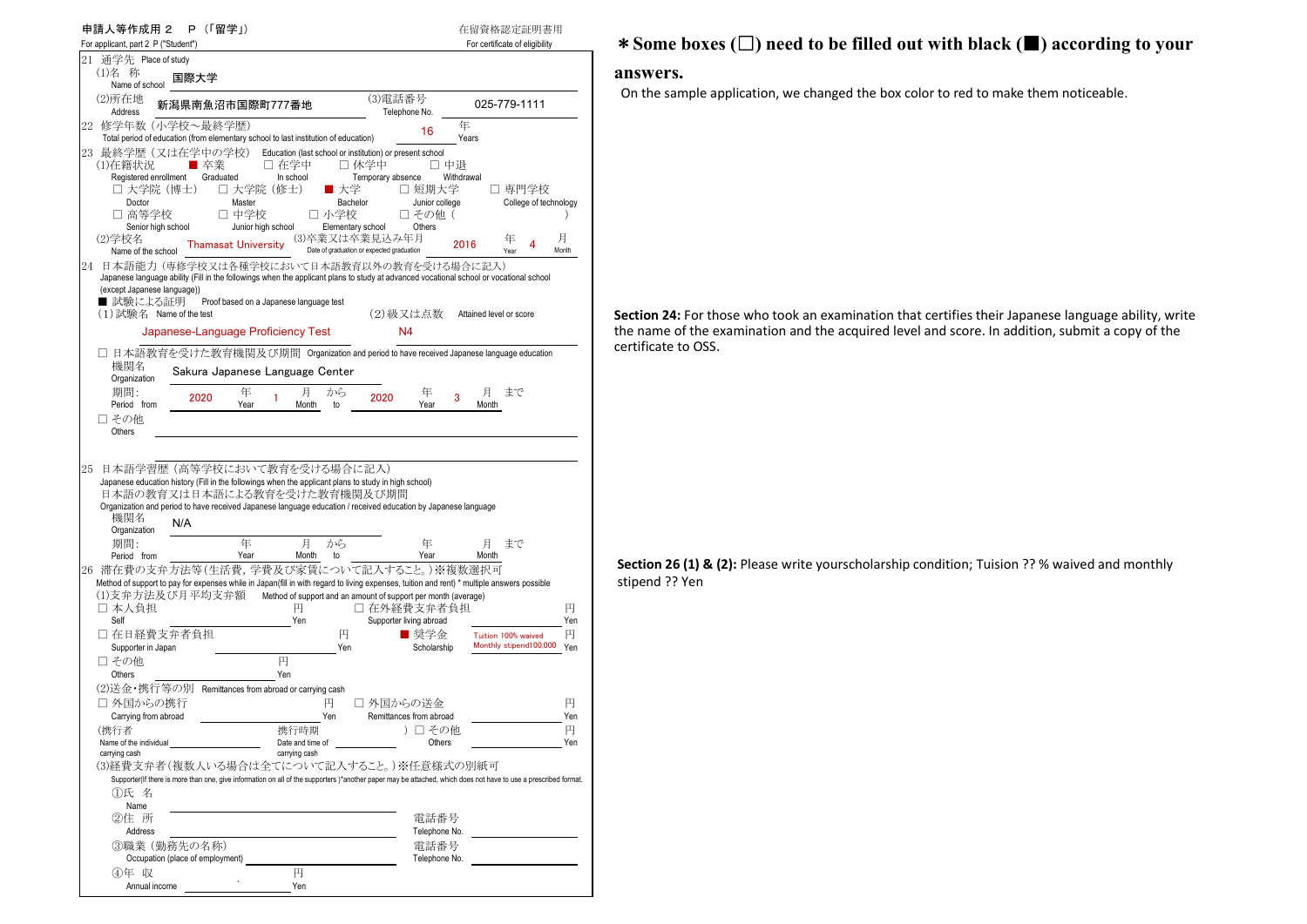| 申請人等作成用 2<br>P (「留学」)<br>For applicant, part 2 P ("Student")                                                                                                                                                                                                                                                   |                                        | 在留資格認定証明書用<br>For certificate of eligibility |
|----------------------------------------------------------------------------------------------------------------------------------------------------------------------------------------------------------------------------------------------------------------------------------------------------------------|----------------------------------------|----------------------------------------------|
| 21 通学先 Place of study                                                                                                                                                                                                                                                                                          |                                        |                                              |
| (1)名 称<br>国際大学<br>Name of school                                                                                                                                                                                                                                                                               |                                        |                                              |
| (2)所在地<br>新潟県南魚沼市国際町777番地<br>Address                                                                                                                                                                                                                                                                           | (3)電話番号<br>Telephone No.               | 025-779-1111                                 |
| 22 修学年数(小学校~最終学歴)                                                                                                                                                                                                                                                                                              | 16                                     | 年                                            |
| Total period of education (from elementary school to last institution of education)                                                                                                                                                                                                                            |                                        | Years                                        |
| 23 最終学歴(又は在学中の学校)<br>Education (last school or institution) or present school<br>□ 在学中<br>■ 卒業<br>□ 休学中<br>(1)在籍状況<br>Registered enrollment<br>Graduated<br>In school<br>□ 大学院 (博士)<br>□ 大学院(修士)<br>■ 大学                                                                                                       | □ 中退<br>Temporary absence<br>□ 短期大学    | Withdrawal<br>□ 専門学校                         |
| Doctor<br>Master<br>Bachelor                                                                                                                                                                                                                                                                                   | Junior college                         | College of technology                        |
| □ 高等学校<br>□ 中学校<br>□ 小学校                                                                                                                                                                                                                                                                                       | □ その他(                                 |                                              |
| Junior high school<br>Senior high school<br>Elementary school<br>(3)卒業又は卒業見込み年月                                                                                                                                                                                                                                | Others                                 | 月                                            |
| (2)学校名<br><b>Thamasat University</b><br>Date of graduation or expected graduation<br>Name of the school                                                                                                                                                                                                        |                                        | 年<br>4<br>2016<br>Month<br>Year              |
| 24<br>日本語能力 (専修学校又は各種学校において日本語教育以外の教育を受ける場合に記入)<br>Japanese language ability (Fill in the followings when the applicant plans to study at advanced vocational school or vocational school<br>(except Japanese language))<br>■ 試験による証明<br>Proof based on a Japanese language test<br>$(1)$ 試験名 Name of the test | (2)級又は点数                               | Attained level or score                      |
| Japanese-Language Proficiency Test                                                                                                                                                                                                                                                                             | N4                                     |                                              |
|                                                                                                                                                                                                                                                                                                                |                                        |                                              |
| □ 日本語教育を受けた教育機関及び期間 Organization and period to have received Japanese language education                                                                                                                                                                                                                       |                                        |                                              |
| 機関名<br>Sakura Japanese Language Center<br>Organization                                                                                                                                                                                                                                                         |                                        |                                              |
| 期間:<br>月<br>年<br>から<br>2020<br>1                                                                                                                                                                                                                                                                               | 年<br>2020                              | まで<br>月<br>3                                 |
| Period from<br>Year<br>Month<br>to<br>□ その他                                                                                                                                                                                                                                                                    | Year                                   | Month                                        |
| Others                                                                                                                                                                                                                                                                                                         |                                        |                                              |
| 日本語の教育又は日本語による教育を受けた教育機関及び期間<br>Organization and period to have received Japanese language education / received education by Japanese language<br>機関名<br>N/A<br>Organization                                                                                                                                   |                                        |                                              |
| 年<br>月<br>から<br>期間:<br>Year<br>Month<br>Period from<br>to                                                                                                                                                                                                                                                      | 年<br>Year                              | 月<br>まで<br>Month                             |
| 26 滞在費の支弁方法等(生活費, 学費及び家賃について記入すること。)※複数選択可                                                                                                                                                                                                                                                                     |                                        |                                              |
| Method of support to pay for expenses while in Japan(fill in with regard to living expenses, tuition and rent) * multiple answers possible                                                                                                                                                                     |                                        |                                              |
| (1)支弁方法及び月平均支弁額<br>Method of support and an amount of support per month (average)<br>円<br>□ 本人負担<br>Self<br>Yen                                                                                                                                                                                                | □ 在外経費支弁者負担<br>Supporter living abroad | 円<br>Yen                                     |
| □ 在日経費支弁者負担<br>円<br>Supporter in Japan<br>Yen                                                                                                                                                                                                                                                                  | ■ 奨学金                                  | 円<br>Tuition 100% waived                     |
|                                                                                                                                                                                                                                                                                                                |                                        |                                              |
| 円<br>□ その他                                                                                                                                                                                                                                                                                                     | Scholarship                            | Monthly stipend100,000<br>Yen                |
| Others<br>Yen                                                                                                                                                                                                                                                                                                  |                                        |                                              |
| (2)送金・携行等の別 Remittances from abroad or carrying cash                                                                                                                                                                                                                                                           |                                        |                                              |
| □ 外国からの携行<br>円                                                                                                                                                                                                                                                                                                 | □ 外国からの送金                              | 円                                            |
| Carrying from abroad<br>Yen<br>(携行者<br>携行時期                                                                                                                                                                                                                                                                    | Remittances from abroad<br>)口 その他      | Yen<br>円                                     |
| Name of the individual<br>Date and time of                                                                                                                                                                                                                                                                     | Others                                 | Yen                                          |
| carrying cash<br>carrying cash                                                                                                                                                                                                                                                                                 |                                        |                                              |
| (3)経費支弁者(複数人いる場合は全てについて記入すること。)※任意様式の別紙可                                                                                                                                                                                                                                                                       |                                        |                                              |
| Supporter(If there is more than one, give information on all of the supporters)*another paper may be attached, which does not have to use a prescribed format.<br>⑴氏 名                                                                                                                                         |                                        |                                              |
| Name                                                                                                                                                                                                                                                                                                           |                                        |                                              |
| ②住 所                                                                                                                                                                                                                                                                                                           | 電話番号                                   |                                              |
| Address                                                                                                                                                                                                                                                                                                        | Telephone No.                          |                                              |
| ③職業 (勤務先の名称)                                                                                                                                                                                                                                                                                                   | 電話番号                                   |                                              |
| Occupation (place of employment)<br>円                                                                                                                                                                                                                                                                          | Telephone No.                          |                                              |
| ④年 収<br>Annual income<br>Yen                                                                                                                                                                                                                                                                                   |                                        |                                              |

# \***Some boxes (**□**) need to be filled out with black (**■**) according to your**

### **answers.**

On the sample application, we changed the box color to red to make them noticeable.

**Section 24:** For those who took an examination that certifies their Japanese language ability, write the name of the examination and the acquired level and score. In addition, submit a copy of the certificate to OSS.

**Section 26 (1) & (2):** Please write yourscholarship condition; Tuision ?? % waived and monthly stipend ?? Yen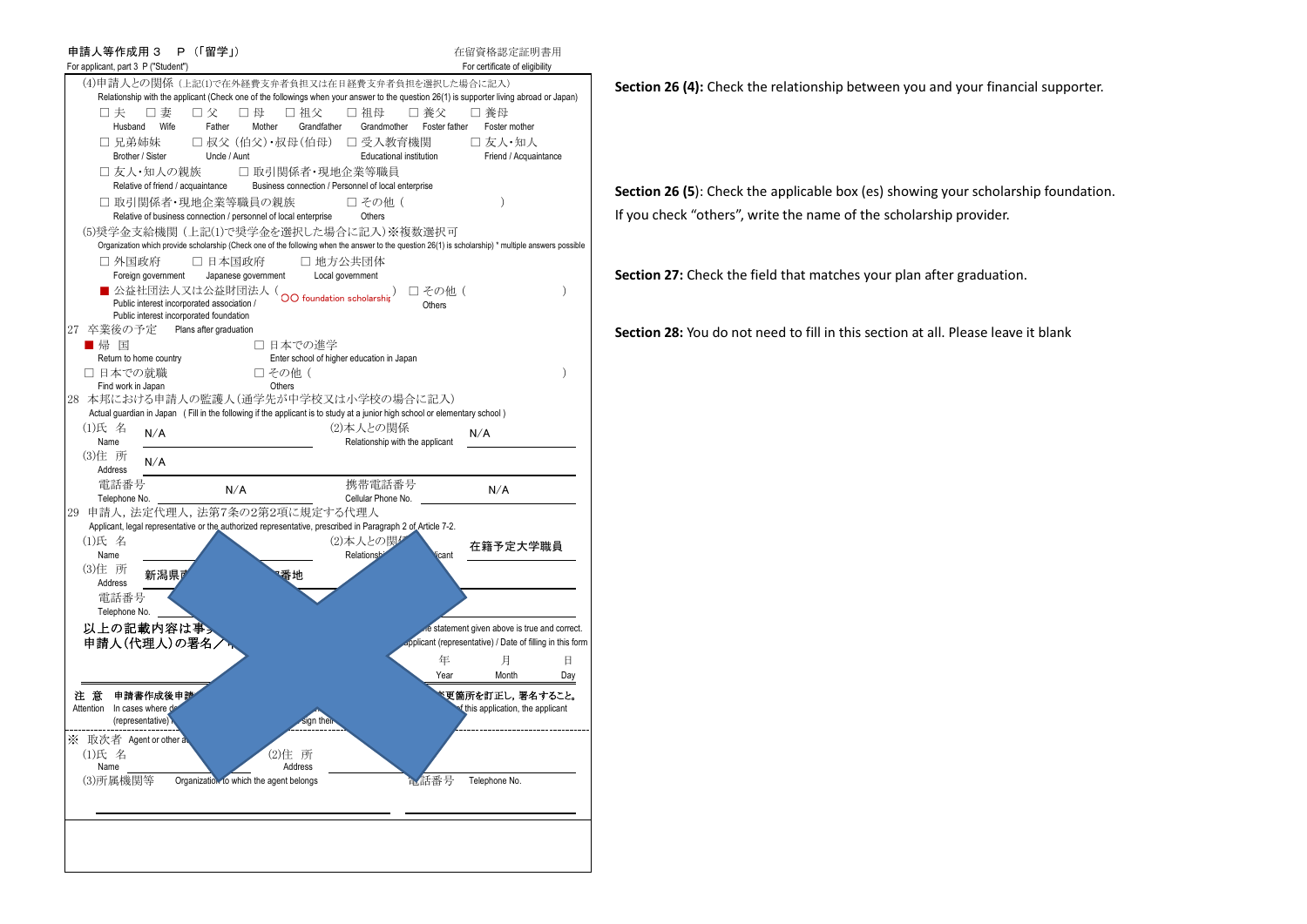

**Section 26 (4):** Check the relationship between you and your financial supporter.

**Section 26 (5**): Check the applicable box (es) showing your scholarship foundation. If you check "others", write the name of the scholarship provider.

**Section 27:** Check the field that matches your plan after graduation.

**Section 28:** You do not need to fill in this section at all. Please leave it blank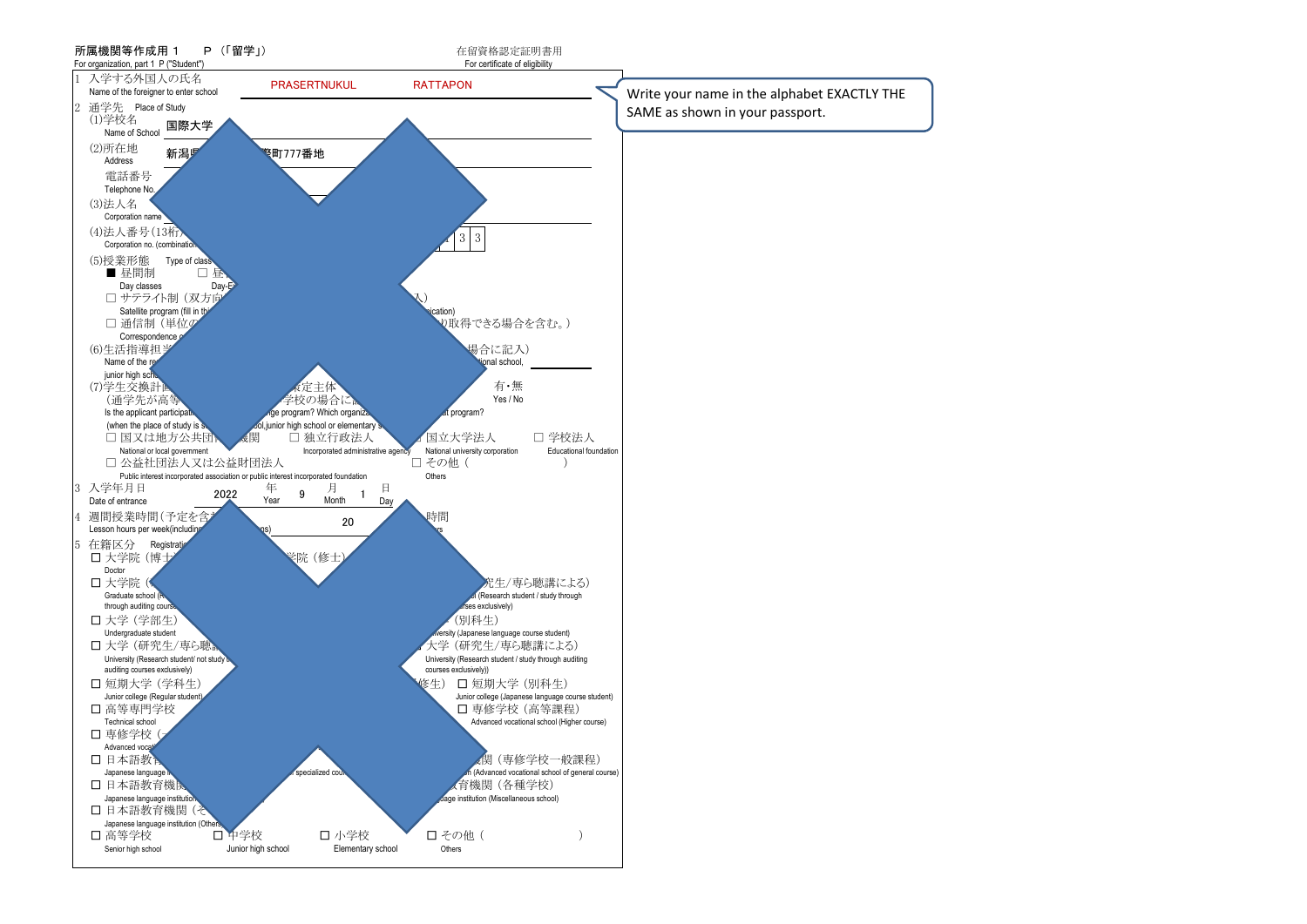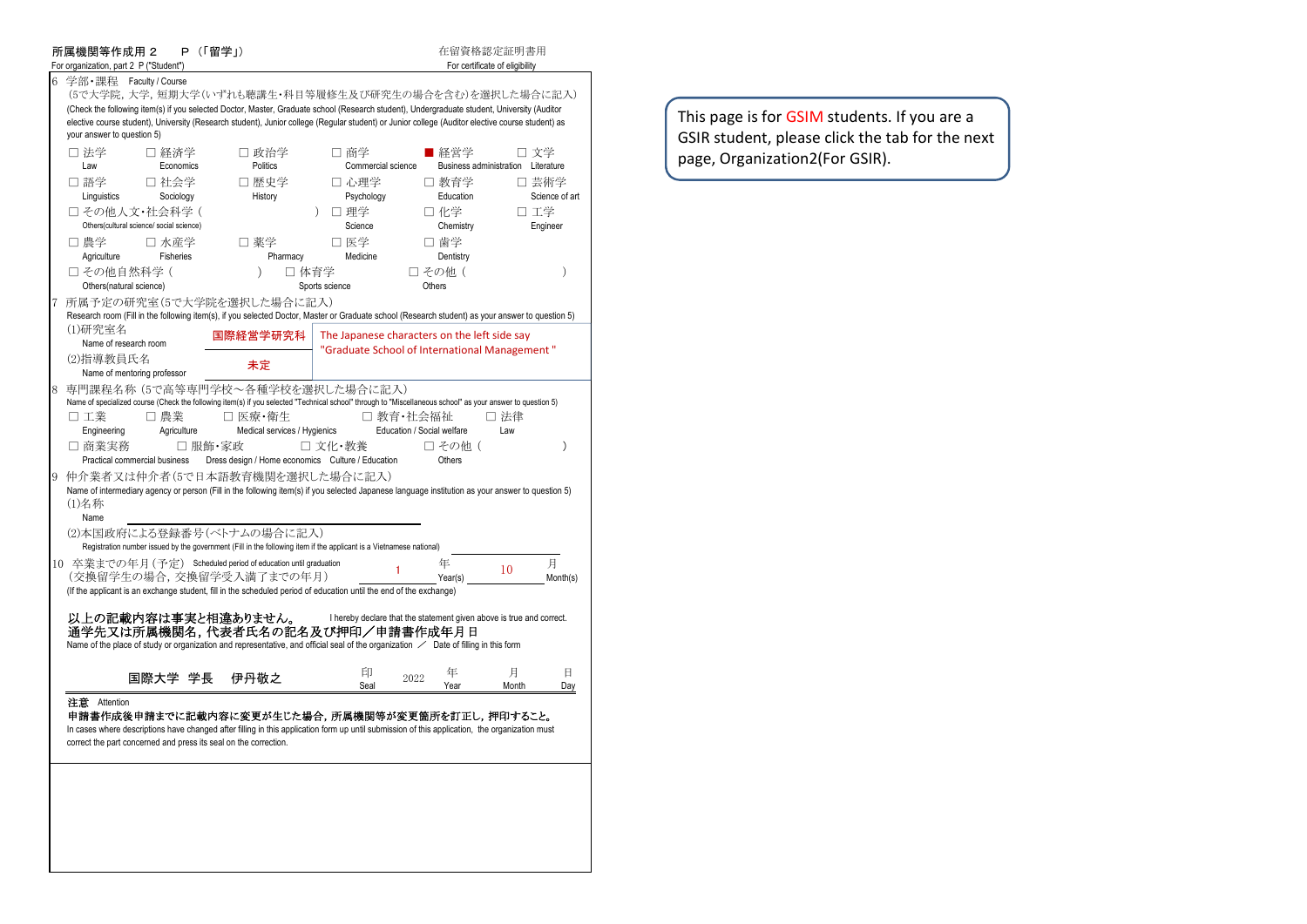|   | 所属機関等作成用 2<br>For organization, part 2 P ("Student") |                                                           | P (「留学」) |                                                                                                                                                                                                                  |                              |                                                                                                                                                                                                                                                                                                                                                           | 在留資格認定証明書用<br>For certificate of eligibility |                         |
|---|------------------------------------------------------|-----------------------------------------------------------|----------|------------------------------------------------------------------------------------------------------------------------------------------------------------------------------------------------------------------|------------------------------|-----------------------------------------------------------------------------------------------------------------------------------------------------------------------------------------------------------------------------------------------------------------------------------------------------------------------------------------------------------|----------------------------------------------|-------------------------|
| 6 | 学部・課程 Faculty/Course<br>your answer to question 5)   |                                                           |          |                                                                                                                                                                                                                  |                              | (5で大学院, 大学, 短期大学(いずれも聴講生・科目等履修生及び研究生の場合を含む)を選択した場合に記入)<br>(Check the following item(s) if you selected Doctor, Master, Graduate school (Research student), Undergraduate student, University (Auditor<br>elective course student), University (Research student), Junior college (Regular student) or Junior college (Auditor elective course student) as |                                              |                         |
|   | □ 法学<br>Law                                          | □ 経済学<br>Economics                                        |          | □ 政治学<br>Politics                                                                                                                                                                                                | □ 商学<br>Commercial science   | ■ 経営学                                                                                                                                                                                                                                                                                                                                                     | Business administration Literature           | 口 文学                    |
|   | □ 語学<br>Linguistics                                  | □ 社会学<br>Sociology                                        |          | □ 歴史学<br>History                                                                                                                                                                                                 | □ 心理学<br>Psychology          | □ 教育学<br>Education                                                                                                                                                                                                                                                                                                                                        |                                              | □ 芸術学<br>Science of art |
|   |                                                      | □ その他人文・社会科学(<br>Others(cultural science/ social science) |          |                                                                                                                                                                                                                  | □ 理学<br>$\lambda$<br>Science | 口 化学<br>Chemistry                                                                                                                                                                                                                                                                                                                                         |                                              | 口 工学<br>Engineer        |
|   | □ 農学<br>Agriculture                                  | □ 水産学<br>Fisheries                                        |          | □ 薬学<br>Pharmacy                                                                                                                                                                                                 | □ 医学<br>Medicine             | □ 歯学<br>Dentistry                                                                                                                                                                                                                                                                                                                                         |                                              |                         |
|   | □ その他自然科学(<br>Others(natural science)                |                                                           |          | $\lambda$                                                                                                                                                                                                        | □ 体育学<br>Sports science      | □ その他(<br>Others                                                                                                                                                                                                                                                                                                                                          |                                              | $\mathcal{E}$           |
|   |                                                      |                                                           |          | 所属予定の研究室(5で大学院を選択した場合に記入)                                                                                                                                                                                        |                              | Research room (Fill in the following item(s), if you selected Doctor, Master or Graduate school (Research student) as your answer to question 5)                                                                                                                                                                                                          |                                              |                         |
|   | (1)研究室名<br>Name of research room                     |                                                           |          | 国際経営学研究科                                                                                                                                                                                                         |                              | The Japanese characters on the left side say                                                                                                                                                                                                                                                                                                              |                                              |                         |
|   | (2)指導教員氏名                                            | Name of mentoring professor                               |          | 未定                                                                                                                                                                                                               |                              | "Graduate School of International Management"                                                                                                                                                                                                                                                                                                             |                                              |                         |
| 8 | 口工業<br>Engineering<br>□ 商業実務                         | □ 農業<br>Agriculture                                       | □ 服飾・家政  | 専門課程名称 (5で高等専門学校~各種学校を選択した場合に記入)<br>□ 医療・衛生<br>Medical services / Hygienics                                                                                                                                      | □ 文化・教養                      | Name of specialized course (Check the following item(s) if you selected "Technical school" through to "Miscellaneous school" as your answer to question 5)<br>□ 教育・社会福祉<br>Education / Social welfare<br>□ その他(                                                                                                                                           | □ 法律<br>Law                                  | )                       |
| 9 | (1)名称                                                | Practical commercial business                             |          | Dress design / Home economics Culture / Education<br>仲介業者又は仲介者(5で日本語教育機関を選択した場合に記入)                                                                                                                              |                              | Others<br>Name of intermediary agency or person (Fill in the following item(s) if you selected Japanese language institution as your answer to question 5)                                                                                                                                                                                                |                                              |                         |
|   | Name                                                 |                                                           |          | (2)本国政府による登録番号(ベトナムの場合に記入)<br>Registration number issued by the government (Fill in the following item if the applicant is a Vietnamese national)                                                                |                              |                                                                                                                                                                                                                                                                                                                                                           |                                              |                         |
|   |                                                      |                                                           |          | 10 卒業までの年月 (予定) Scheduled period of education until graduation<br>(交換留学生の場合,交換留学受入満了までの年月)<br>(If the applicant is an exchange student, fill in the scheduled period of education until the end of the exchange) |                              | 年<br>Year(s)                                                                                                                                                                                                                                                                                                                                              | 10                                           | 月<br>Month(s)           |
|   |                                                      |                                                           |          | 以上の記載内容は事実と相違ありません。                                                                                                                                                                                              |                              | I hereby declare that the statement given above is true and correct.<br>通学先又は所属機関名,代表者氏名の記名及び押印/申請書作成年月日<br>Name of the place of study or organization and representative, and official seal of the organization / Date of filling in this form                                                                                                           |                                              |                         |
|   |                                                      | 国際大学 学長                                                   |          | 伊丹敬之                                                                                                                                                                                                             | 印<br>Seal                    | 年<br>2022<br>Year                                                                                                                                                                                                                                                                                                                                         | 月<br>Month                                   | 日<br>Day                |
|   | 注意 Attention                                         |                                                           |          | correct the part concerned and press its seal on the correction.                                                                                                                                                 |                              | 申請書作成後申請までに記載内容に変更が生じた場合,所属機関等が変更箇所を訂正し,押印すること。<br>In cases where descriptions have changed after filling in this application form up until submission of this application, the organization must                                                                                                                                                         |                                              |                         |
|   |                                                      |                                                           |          |                                                                                                                                                                                                                  |                              |                                                                                                                                                                                                                                                                                                                                                           |                                              |                         |

This page is for GSIM students. If you are a GSIR student, please click the tab for the next page, Organization2(For GSIR).